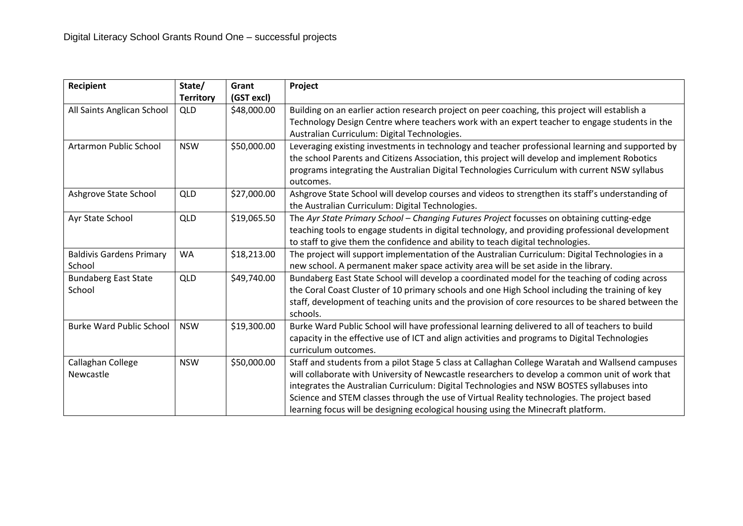| Recipient                       | State/           | Grant       | Project                                                                                           |
|---------------------------------|------------------|-------------|---------------------------------------------------------------------------------------------------|
|                                 | <b>Territory</b> | (GST excl)  |                                                                                                   |
| All Saints Anglican School      | QLD              | \$48,000.00 | Building on an earlier action research project on peer coaching, this project will establish a    |
|                                 |                  |             | Technology Design Centre where teachers work with an expert teacher to engage students in the     |
|                                 |                  |             | Australian Curriculum: Digital Technologies.                                                      |
| Artarmon Public School          | <b>NSW</b>       | \$50,000.00 | Leveraging existing investments in technology and teacher professional learning and supported by  |
|                                 |                  |             | the school Parents and Citizens Association, this project will develop and implement Robotics     |
|                                 |                  |             | programs integrating the Australian Digital Technologies Curriculum with current NSW syllabus     |
|                                 |                  |             | outcomes.                                                                                         |
| Ashgrove State School           | <b>QLD</b>       | \$27,000.00 | Ashgrove State School will develop courses and videos to strengthen its staff's understanding of  |
|                                 |                  |             | the Australian Curriculum: Digital Technologies.                                                  |
| Ayr State School                | <b>QLD</b>       | \$19,065.50 | The Ayr State Primary School - Changing Futures Project focusses on obtaining cutting-edge        |
|                                 |                  |             | teaching tools to engage students in digital technology, and providing professional development   |
|                                 |                  |             | to staff to give them the confidence and ability to teach digital technologies.                   |
| <b>Baldivis Gardens Primary</b> | <b>WA</b>        | \$18,213.00 | The project will support implementation of the Australian Curriculum: Digital Technologies in a   |
| School                          |                  |             | new school. A permanent maker space activity area will be set aside in the library.               |
| <b>Bundaberg East State</b>     | <b>QLD</b>       | \$49,740.00 | Bundaberg East State School will develop a coordinated model for the teaching of coding across    |
| School                          |                  |             | the Coral Coast Cluster of 10 primary schools and one High School including the training of key   |
|                                 |                  |             | staff, development of teaching units and the provision of core resources to be shared between the |
|                                 |                  |             | schools.                                                                                          |
| <b>Burke Ward Public School</b> | <b>NSW</b>       | \$19,300.00 | Burke Ward Public School will have professional learning delivered to all of teachers to build    |
|                                 |                  |             | capacity in the effective use of ICT and align activities and programs to Digital Technologies    |
|                                 |                  |             | curriculum outcomes.                                                                              |
| Callaghan College               | <b>NSW</b>       | \$50,000.00 | Staff and students from a pilot Stage 5 class at Callaghan College Waratah and Wallsend campuses  |
| Newcastle                       |                  |             | will collaborate with University of Newcastle researchers to develop a common unit of work that   |
|                                 |                  |             | integrates the Australian Curriculum: Digital Technologies and NSW BOSTES syllabuses into         |
|                                 |                  |             | Science and STEM classes through the use of Virtual Reality technologies. The project based       |
|                                 |                  |             | learning focus will be designing ecological housing using the Minecraft platform.                 |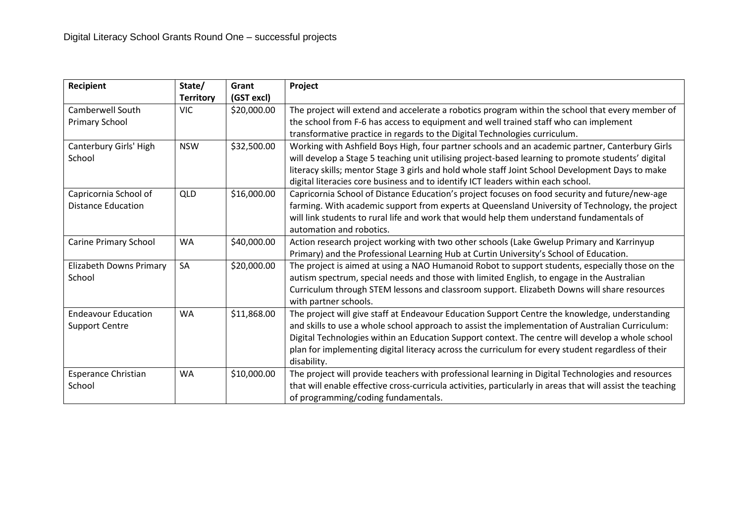| Recipient                  | State/           | Grant       | Project                                                                                                    |
|----------------------------|------------------|-------------|------------------------------------------------------------------------------------------------------------|
|                            | <b>Territory</b> | (GST excl)  |                                                                                                            |
| <b>Camberwell South</b>    | <b>VIC</b>       | \$20,000.00 | The project will extend and accelerate a robotics program within the school that every member of           |
| <b>Primary School</b>      |                  |             | the school from F-6 has access to equipment and well trained staff who can implement                       |
|                            |                  |             | transformative practice in regards to the Digital Technologies curriculum.                                 |
| Canterbury Girls' High     | <b>NSW</b>       | \$32,500.00 | Working with Ashfield Boys High, four partner schools and an academic partner, Canterbury Girls            |
| School                     |                  |             | will develop a Stage 5 teaching unit utilising project-based learning to promote students' digital         |
|                            |                  |             | literacy skills; mentor Stage 3 girls and hold whole staff Joint School Development Days to make           |
|                            |                  |             | digital literacies core business and to identify ICT leaders within each school.                           |
| Capricornia School of      | QLD              | \$16,000.00 | Capricornia School of Distance Education's project focuses on food security and future/new-age             |
| <b>Distance Education</b>  |                  |             | farming. With academic support from experts at Queensland University of Technology, the project            |
|                            |                  |             | will link students to rural life and work that would help them understand fundamentals of                  |
|                            |                  |             | automation and robotics.                                                                                   |
| Carine Primary School      | <b>WA</b>        | \$40,000.00 | Action research project working with two other schools (Lake Gwelup Primary and Karrinyup                  |
|                            |                  |             | Primary) and the Professional Learning Hub at Curtin University's School of Education.                     |
| Elizabeth Downs Primary    | SA               | \$20,000.00 | The project is aimed at using a NAO Humanoid Robot to support students, especially those on the            |
| School                     |                  |             | autism spectrum, special needs and those with limited English, to engage in the Australian                 |
|                            |                  |             | Curriculum through STEM lessons and classroom support. Elizabeth Downs will share resources                |
|                            |                  |             | with partner schools.                                                                                      |
| <b>Endeavour Education</b> | <b>WA</b>        | \$11,868.00 | The project will give staff at Endeavour Education Support Centre the knowledge, understanding             |
| <b>Support Centre</b>      |                  |             | and skills to use a whole school approach to assist the implementation of Australian Curriculum:           |
|                            |                  |             | Digital Technologies within an Education Support context. The centre will develop a whole school           |
|                            |                  |             | plan for implementing digital literacy across the curriculum for every student regardless of their         |
|                            |                  |             | disability.                                                                                                |
| <b>Esperance Christian</b> | <b>WA</b>        | \$10,000.00 | The project will provide teachers with professional learning in Digital Technologies and resources         |
| School                     |                  |             | that will enable effective cross-curricula activities, particularly in areas that will assist the teaching |
|                            |                  |             | of programming/coding fundamentals.                                                                        |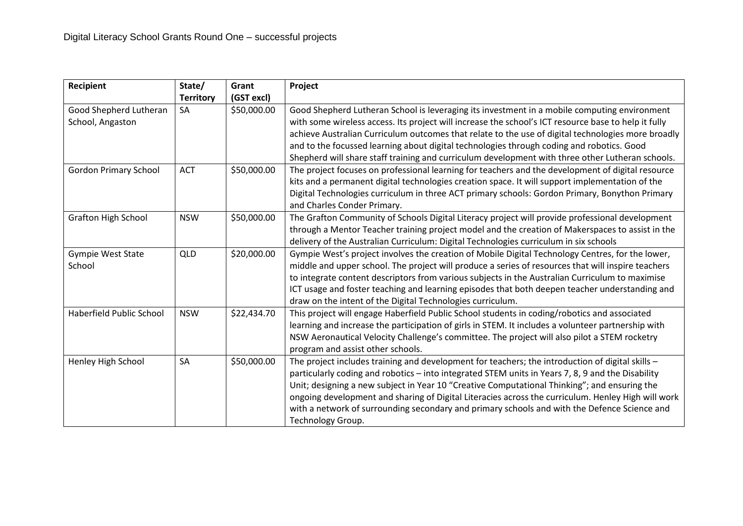| Recipient                    | State/           | Grant       | Project                                                                                                                                                                                            |
|------------------------------|------------------|-------------|----------------------------------------------------------------------------------------------------------------------------------------------------------------------------------------------------|
|                              | <b>Territory</b> | (GST excl)  |                                                                                                                                                                                                    |
| Good Shepherd Lutheran       | SA               | \$50,000.00 | Good Shepherd Lutheran School is leveraging its investment in a mobile computing environment                                                                                                       |
| School, Angaston             |                  |             | with some wireless access. Its project will increase the school's ICT resource base to help it fully                                                                                               |
|                              |                  |             | achieve Australian Curriculum outcomes that relate to the use of digital technologies more broadly                                                                                                 |
|                              |                  |             | and to the focussed learning about digital technologies through coding and robotics. Good                                                                                                          |
|                              |                  |             | Shepherd will share staff training and curriculum development with three other Lutheran schools.                                                                                                   |
| <b>Gordon Primary School</b> | <b>ACT</b>       | \$50,000.00 | The project focuses on professional learning for teachers and the development of digital resource                                                                                                  |
|                              |                  |             | kits and a permanent digital technologies creation space. It will support implementation of the                                                                                                    |
|                              |                  |             | Digital Technologies curriculum in three ACT primary schools: Gordon Primary, Bonython Primary                                                                                                     |
|                              |                  |             | and Charles Conder Primary.                                                                                                                                                                        |
| <b>Grafton High School</b>   | <b>NSW</b>       | \$50,000.00 | The Grafton Community of Schools Digital Literacy project will provide professional development                                                                                                    |
|                              |                  |             | through a Mentor Teacher training project model and the creation of Makerspaces to assist in the                                                                                                   |
|                              |                  |             | delivery of the Australian Curriculum: Digital Technologies curriculum in six schools                                                                                                              |
| Gympie West State            | <b>QLD</b>       | \$20,000.00 | Gympie West's project involves the creation of Mobile Digital Technology Centres, for the lower,                                                                                                   |
| School                       |                  |             | middle and upper school. The project will produce a series of resources that will inspire teachers                                                                                                 |
|                              |                  |             | to integrate content descriptors from various subjects in the Australian Curriculum to maximise                                                                                                    |
|                              |                  |             | ICT usage and foster teaching and learning episodes that both deepen teacher understanding and                                                                                                     |
| Haberfield Public School     | <b>NSW</b>       |             | draw on the intent of the Digital Technologies curriculum.                                                                                                                                         |
|                              |                  | \$22,434.70 | This project will engage Haberfield Public School students in coding/robotics and associated                                                                                                       |
|                              |                  |             | learning and increase the participation of girls in STEM. It includes a volunteer partnership with<br>NSW Aeronautical Velocity Challenge's committee. The project will also pilot a STEM rocketry |
|                              |                  |             | program and assist other schools.                                                                                                                                                                  |
| Henley High School           | <b>SA</b>        | \$50,000.00 | The project includes training and development for teachers; the introduction of digital skills -                                                                                                   |
|                              |                  |             | particularly coding and robotics - into integrated STEM units in Years 7, 8, 9 and the Disability                                                                                                  |
|                              |                  |             | Unit; designing a new subject in Year 10 "Creative Computational Thinking"; and ensuring the                                                                                                       |
|                              |                  |             | ongoing development and sharing of Digital Literacies across the curriculum. Henley High will work                                                                                                 |
|                              |                  |             | with a network of surrounding secondary and primary schools and with the Defence Science and                                                                                                       |
|                              |                  |             | Technology Group.                                                                                                                                                                                  |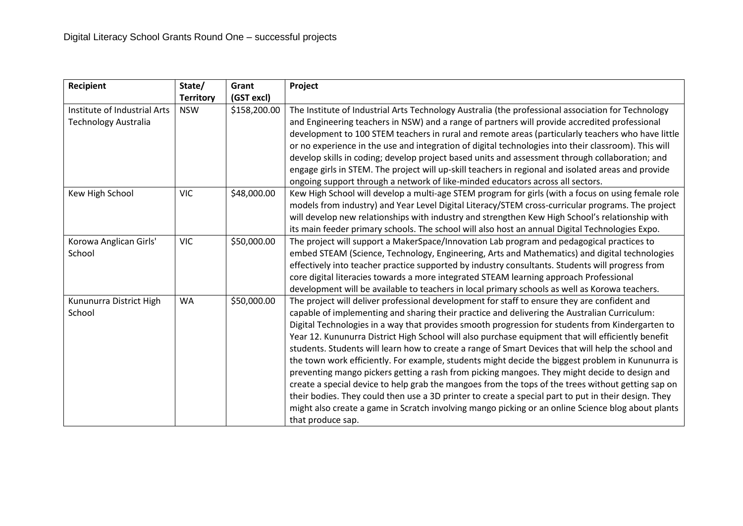| Recipient                    | State/           | Grant        | Project                                                                                              |
|------------------------------|------------------|--------------|------------------------------------------------------------------------------------------------------|
|                              | <b>Territory</b> | (GST excl)   |                                                                                                      |
| Institute of Industrial Arts | <b>NSW</b>       | \$158,200.00 | The Institute of Industrial Arts Technology Australia (the professional association for Technology   |
| <b>Technology Australia</b>  |                  |              | and Engineering teachers in NSW) and a range of partners will provide accredited professional        |
|                              |                  |              | development to 100 STEM teachers in rural and remote areas (particularly teachers who have little    |
|                              |                  |              | or no experience in the use and integration of digital technologies into their classroom). This will |
|                              |                  |              | develop skills in coding; develop project based units and assessment through collaboration; and      |
|                              |                  |              | engage girls in STEM. The project will up-skill teachers in regional and isolated areas and provide  |
|                              |                  |              | ongoing support through a network of like-minded educators across all sectors.                       |
| Kew High School              | <b>VIC</b>       | \$48,000.00  | Kew High School will develop a multi-age STEM program for girls (with a focus on using female role   |
|                              |                  |              | models from industry) and Year Level Digital Literacy/STEM cross-curricular programs. The project    |
|                              |                  |              | will develop new relationships with industry and strengthen Kew High School's relationship with      |
|                              |                  |              | its main feeder primary schools. The school will also host an annual Digital Technologies Expo.      |
| Korowa Anglican Girls'       | <b>VIC</b>       | \$50,000.00  | The project will support a MakerSpace/Innovation Lab program and pedagogical practices to            |
| School                       |                  |              | embed STEAM (Science, Technology, Engineering, Arts and Mathematics) and digital technologies        |
|                              |                  |              | effectively into teacher practice supported by industry consultants. Students will progress from     |
|                              |                  |              | core digital literacies towards a more integrated STEAM learning approach Professional               |
|                              |                  |              | development will be available to teachers in local primary schools as well as Korowa teachers.       |
| Kununurra District High      | <b>WA</b>        | \$50,000.00  | The project will deliver professional development for staff to ensure they are confident and         |
| School                       |                  |              | capable of implementing and sharing their practice and delivering the Australian Curriculum:         |
|                              |                  |              | Digital Technologies in a way that provides smooth progression for students from Kindergarten to     |
|                              |                  |              | Year 12. Kununurra District High School will also purchase equipment that will efficiently benefit   |
|                              |                  |              | students. Students will learn how to create a range of Smart Devices that will help the school and   |
|                              |                  |              | the town work efficiently. For example, students might decide the biggest problem in Kununurra is    |
|                              |                  |              | preventing mango pickers getting a rash from picking mangoes. They might decide to design and        |
|                              |                  |              | create a special device to help grab the mangoes from the tops of the trees without getting sap on   |
|                              |                  |              | their bodies. They could then use a 3D printer to create a special part to put in their design. They |
|                              |                  |              | might also create a game in Scratch involving mango picking or an online Science blog about plants   |
|                              |                  |              | that produce sap.                                                                                    |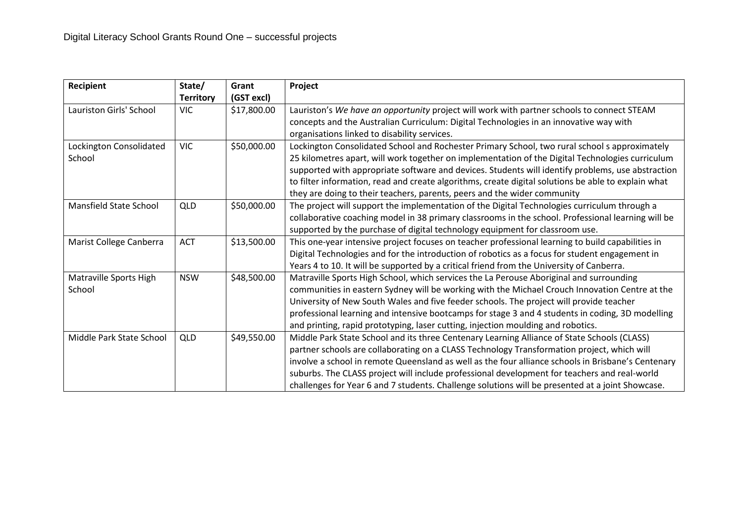| <b>Recipient</b>                  | State/<br><b>Territory</b> | Grant<br>(GST excl) | Project                                                                                                                                                                                                                                                                                                                                                                                                                                                                                             |
|-----------------------------------|----------------------------|---------------------|-----------------------------------------------------------------------------------------------------------------------------------------------------------------------------------------------------------------------------------------------------------------------------------------------------------------------------------------------------------------------------------------------------------------------------------------------------------------------------------------------------|
| Lauriston Girls' School           | <b>VIC</b>                 | \$17,800.00         | Lauriston's We have an opportunity project will work with partner schools to connect STEAM<br>concepts and the Australian Curriculum: Digital Technologies in an innovative way with<br>organisations linked to disability services.                                                                                                                                                                                                                                                                |
| Lockington Consolidated<br>School | <b>VIC</b>                 | \$50,000.00         | Lockington Consolidated School and Rochester Primary School, two rural school s approximately<br>25 kilometres apart, will work together on implementation of the Digital Technologies curriculum<br>supported with appropriate software and devices. Students will identify problems, use abstraction<br>to filter information, read and create algorithms, create digital solutions be able to explain what<br>they are doing to their teachers, parents, peers and the wider community           |
| Mansfield State School            | <b>QLD</b>                 | \$50,000.00         | The project will support the implementation of the Digital Technologies curriculum through a<br>collaborative coaching model in 38 primary classrooms in the school. Professional learning will be<br>supported by the purchase of digital technology equipment for classroom use.                                                                                                                                                                                                                  |
| Marist College Canberra           | <b>ACT</b>                 | \$13,500.00         | This one-year intensive project focuses on teacher professional learning to build capabilities in<br>Digital Technologies and for the introduction of robotics as a focus for student engagement in<br>Years 4 to 10. It will be supported by a critical friend from the University of Canberra.                                                                                                                                                                                                    |
| Matraville Sports High<br>School  | <b>NSW</b>                 | \$48,500.00         | Matraville Sports High School, which services the La Perouse Aboriginal and surrounding<br>communities in eastern Sydney will be working with the Michael Crouch Innovation Centre at the<br>University of New South Wales and five feeder schools. The project will provide teacher<br>professional learning and intensive bootcamps for stage 3 and 4 students in coding, 3D modelling<br>and printing, rapid prototyping, laser cutting, injection moulding and robotics.                        |
| Middle Park State School          | QLD                        | \$49,550.00         | Middle Park State School and its three Centenary Learning Alliance of State Schools (CLASS)<br>partner schools are collaborating on a CLASS Technology Transformation project, which will<br>involve a school in remote Queensland as well as the four alliance schools in Brisbane's Centenary<br>suburbs. The CLASS project will include professional development for teachers and real-world<br>challenges for Year 6 and 7 students. Challenge solutions will be presented at a joint Showcase. |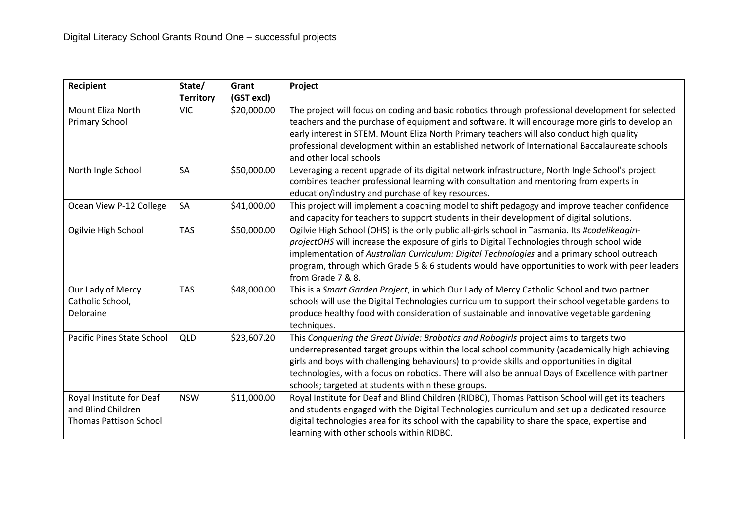| Recipient                                                                       | State/           | Grant       | Project                                                                                                                                                                                                                                                                                                                                                                                                                                         |
|---------------------------------------------------------------------------------|------------------|-------------|-------------------------------------------------------------------------------------------------------------------------------------------------------------------------------------------------------------------------------------------------------------------------------------------------------------------------------------------------------------------------------------------------------------------------------------------------|
|                                                                                 | <b>Territory</b> | (GST excl)  |                                                                                                                                                                                                                                                                                                                                                                                                                                                 |
| Mount Eliza North<br><b>Primary School</b>                                      | <b>VIC</b>       | \$20,000.00 | The project will focus on coding and basic robotics through professional development for selected<br>teachers and the purchase of equipment and software. It will encourage more girls to develop an<br>early interest in STEM. Mount Eliza North Primary teachers will also conduct high quality<br>professional development within an established network of International Baccalaureate schools<br>and other local schools                   |
| North Ingle School                                                              | <b>SA</b>        | \$50,000.00 | Leveraging a recent upgrade of its digital network infrastructure, North Ingle School's project<br>combines teacher professional learning with consultation and mentoring from experts in<br>education/industry and purchase of key resources.                                                                                                                                                                                                  |
| Ocean View P-12 College                                                         | SA               | \$41,000.00 | This project will implement a coaching model to shift pedagogy and improve teacher confidence<br>and capacity for teachers to support students in their development of digital solutions.                                                                                                                                                                                                                                                       |
| Ogilvie High School                                                             | <b>TAS</b>       | \$50,000.00 | Ogilvie High School (OHS) is the only public all-girls school in Tasmania. Its #codelikeagirl-<br>projectOHS will increase the exposure of girls to Digital Technologies through school wide<br>implementation of Australian Curriculum: Digital Technologies and a primary school outreach<br>program, through which Grade 5 & 6 students would have opportunities to work with peer leaders<br>from Grade 7 & 8.                              |
| Our Lady of Mercy<br>Catholic School,<br>Deloraine                              | <b>TAS</b>       | \$48,000.00 | This is a Smart Garden Project, in which Our Lady of Mercy Catholic School and two partner<br>schools will use the Digital Technologies curriculum to support their school vegetable gardens to<br>produce healthy food with consideration of sustainable and innovative vegetable gardening<br>techniques.                                                                                                                                     |
| Pacific Pines State School                                                      | <b>QLD</b>       | \$23,607.20 | This Conquering the Great Divide: Brobotics and Robogirls project aims to targets two<br>underrepresented target groups within the local school community (academically high achieving<br>girls and boys with challenging behaviours) to provide skills and opportunities in digital<br>technologies, with a focus on robotics. There will also be annual Days of Excellence with partner<br>schools; targeted at students within these groups. |
| Royal Institute for Deaf<br>and Blind Children<br><b>Thomas Pattison School</b> | <b>NSW</b>       | \$11,000.00 | Royal Institute for Deaf and Blind Children (RIDBC), Thomas Pattison School will get its teachers<br>and students engaged with the Digital Technologies curriculum and set up a dedicated resource<br>digital technologies area for its school with the capability to share the space, expertise and<br>learning with other schools within RIDBC.                                                                                               |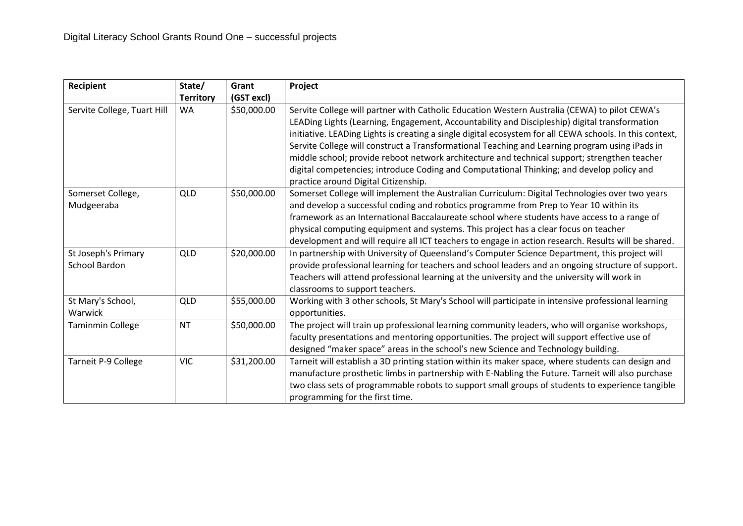| Recipient                                   | State/           | Grant       | Project                                                                                                                                                                                                                                                                                                                                                                                                                                                                                                                                                                                                                                           |
|---------------------------------------------|------------------|-------------|---------------------------------------------------------------------------------------------------------------------------------------------------------------------------------------------------------------------------------------------------------------------------------------------------------------------------------------------------------------------------------------------------------------------------------------------------------------------------------------------------------------------------------------------------------------------------------------------------------------------------------------------------|
|                                             | <b>Territory</b> | (GST excl)  |                                                                                                                                                                                                                                                                                                                                                                                                                                                                                                                                                                                                                                                   |
| Servite College, Tuart Hill                 | <b>WA</b>        | \$50,000.00 | Servite College will partner with Catholic Education Western Australia (CEWA) to pilot CEWA's<br>LEADing Lights (Learning, Engagement, Accountability and Discipleship) digital transformation<br>initiative. LEADing Lights is creating a single digital ecosystem for all CEWA schools. In this context,<br>Servite College will construct a Transformational Teaching and Learning program using iPads in<br>middle school; provide reboot network architecture and technical support; strengthen teacher<br>digital competencies; introduce Coding and Computational Thinking; and develop policy and<br>practice around Digital Citizenship. |
| Somerset College,<br>Mudgeeraba             | <b>QLD</b>       | \$50,000.00 | Somerset College will implement the Australian Curriculum: Digital Technologies over two years<br>and develop a successful coding and robotics programme from Prep to Year 10 within its<br>framework as an International Baccalaureate school where students have access to a range of<br>physical computing equipment and systems. This project has a clear focus on teacher<br>development and will require all ICT teachers to engage in action research. Results will be shared.                                                                                                                                                             |
| St Joseph's Primary<br><b>School Bardon</b> | <b>QLD</b>       | \$20,000.00 | In partnership with University of Queensland's Computer Science Department, this project will<br>provide professional learning for teachers and school leaders and an ongoing structure of support.<br>Teachers will attend professional learning at the university and the university will work in<br>classrooms to support teachers.                                                                                                                                                                                                                                                                                                            |
| St Mary's School,<br>Warwick                | <b>QLD</b>       | \$55,000.00 | Working with 3 other schools, St Mary's School will participate in intensive professional learning<br>opportunities.                                                                                                                                                                                                                                                                                                                                                                                                                                                                                                                              |
| <b>Taminmin College</b>                     | <b>NT</b>        | \$50,000.00 | The project will train up professional learning community leaders, who will organise workshops,<br>faculty presentations and mentoring opportunities. The project will support effective use of<br>designed "maker space" areas in the school's new Science and Technology building.                                                                                                                                                                                                                                                                                                                                                              |
| Tarneit P-9 College                         | <b>VIC</b>       | \$31,200.00 | Tarneit will establish a 3D printing station within its maker space, where students can design and<br>manufacture prosthetic limbs in partnership with E-Nabling the Future. Tarneit will also purchase<br>two class sets of programmable robots to support small groups of students to experience tangible<br>programming for the first time.                                                                                                                                                                                                                                                                                                    |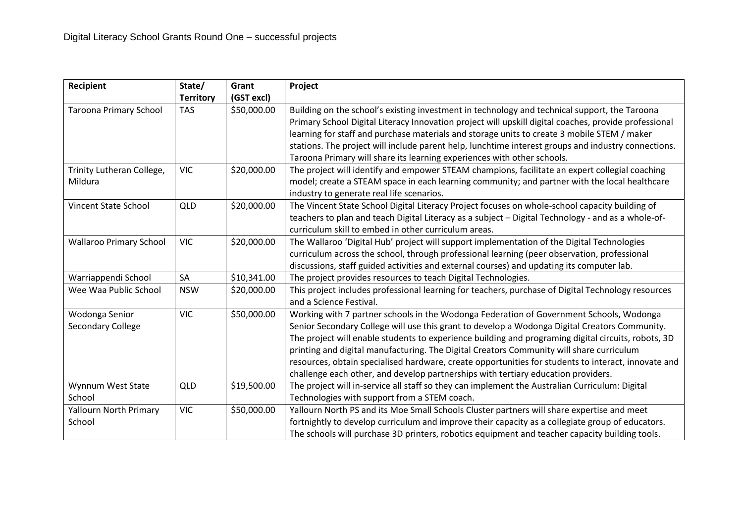| <b>Recipient</b>                        | State/<br><b>Territory</b> | Grant<br>(GST excl) | Project                                                                                                                                                                                                                                                                                                                                                                                                                                                                                                                                                                                 |
|-----------------------------------------|----------------------------|---------------------|-----------------------------------------------------------------------------------------------------------------------------------------------------------------------------------------------------------------------------------------------------------------------------------------------------------------------------------------------------------------------------------------------------------------------------------------------------------------------------------------------------------------------------------------------------------------------------------------|
| <b>Taroona Primary School</b>           | <b>TAS</b>                 | \$50,000.00         | Building on the school's existing investment in technology and technical support, the Taroona<br>Primary School Digital Literacy Innovation project will upskill digital coaches, provide professional<br>learning for staff and purchase materials and storage units to create 3 mobile STEM / maker<br>stations. The project will include parent help, lunchtime interest groups and industry connections.<br>Taroona Primary will share its learning experiences with other schools.                                                                                                 |
| Trinity Lutheran College,<br>Mildura    | <b>VIC</b>                 | \$20,000.00         | The project will identify and empower STEAM champions, facilitate an expert collegial coaching<br>model; create a STEAM space in each learning community; and partner with the local healthcare<br>industry to generate real life scenarios.                                                                                                                                                                                                                                                                                                                                            |
| Vincent State School                    | <b>QLD</b>                 | \$20,000.00         | The Vincent State School Digital Literacy Project focuses on whole-school capacity building of<br>teachers to plan and teach Digital Literacy as a subject - Digital Technology - and as a whole-of-<br>curriculum skill to embed in other curriculum areas.                                                                                                                                                                                                                                                                                                                            |
| <b>Wallaroo Primary School</b>          | <b>VIC</b>                 | \$20,000.00         | The Wallaroo 'Digital Hub' project will support implementation of the Digital Technologies<br>curriculum across the school, through professional learning (peer observation, professional<br>discussions, staff guided activities and external courses) and updating its computer lab.                                                                                                                                                                                                                                                                                                  |
| Warriappendi School                     | SA                         | \$10,341.00         | The project provides resources to teach Digital Technologies.                                                                                                                                                                                                                                                                                                                                                                                                                                                                                                                           |
| Wee Waa Public School                   | <b>NSW</b>                 | \$20,000.00         | This project includes professional learning for teachers, purchase of Digital Technology resources<br>and a Science Festival.                                                                                                                                                                                                                                                                                                                                                                                                                                                           |
| Wodonga Senior<br>Secondary College     | <b>VIC</b>                 | \$50,000.00         | Working with 7 partner schools in the Wodonga Federation of Government Schools, Wodonga<br>Senior Secondary College will use this grant to develop a Wodonga Digital Creators Community.<br>The project will enable students to experience building and programing digital circuits, robots, 3D<br>printing and digital manufacturing. The Digital Creators Community will share curriculum<br>resources, obtain specialised hardware, create opportunities for students to interact, innovate and<br>challenge each other, and develop partnerships with tertiary education providers. |
| Wynnum West State<br>School             | QLD                        | \$19,500.00         | The project will in-service all staff so they can implement the Australian Curriculum: Digital<br>Technologies with support from a STEM coach.                                                                                                                                                                                                                                                                                                                                                                                                                                          |
| <b>Yallourn North Primary</b><br>School | <b>VIC</b>                 | \$50,000.00         | Yallourn North PS and its Moe Small Schools Cluster partners will share expertise and meet<br>fortnightly to develop curriculum and improve their capacity as a collegiate group of educators.<br>The schools will purchase 3D printers, robotics equipment and teacher capacity building tools.                                                                                                                                                                                                                                                                                        |